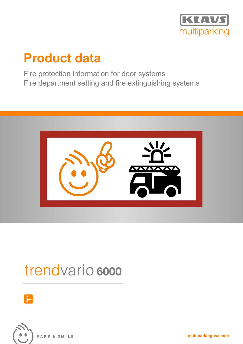

## **Product data**

Fire protection information for door systems Fire department setting and fire extinguishing systems



# trendvario 6000





PARK & SMILE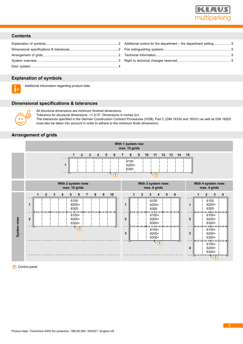

## **Contents**

| Additional control for fire department – fire department setting5 |  |
|-------------------------------------------------------------------|--|
|                                                                   |  |
|                                                                   |  |
|                                                                   |  |

## <span id="page-1-0"></span>**Explanation of symbols**



Additional information regarding product data

## <span id="page-1-1"></span>**Dimensional specifications & tolerances**



All structural dimensions are minimum finished dimensions.

Tolerance for structural dimensions: +1.2/-0". Dimensions in inches (in).

The tolerances specified in the German Construction Contract Procedures (VOB), Part C (DIN 18330 and 18331) as well as DIN 18202 must also be taken into account in order to adhere to the minimum finish dimensions.

## <span id="page-1-2"></span>**Arrangement of grids**



**1** Control panel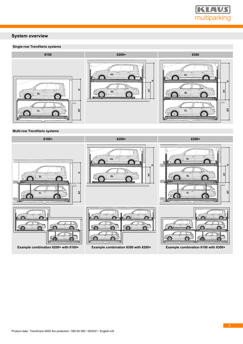

## <span id="page-2-0"></span>**System overview**

## **Single-row TrendVario systems**



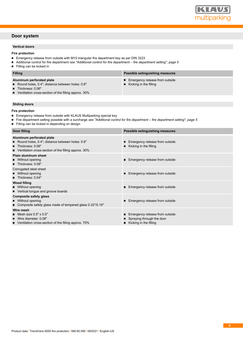

## <span id="page-3-0"></span>**Door system**

### **Vertical doors**

## **Fire protection**

- Emergency release from outside with M10 triangular fire department key as per DIN 3223
- $\blacksquare$ Additional control for fire department *[see "Additional control for fire department – fire department setting", page 5](#page-4-0)*
- $\blacksquare$ Filling can be kicked in

| <b>Filling</b>                                                                                                                                                          | Possible extinguishing measures                                           |
|-------------------------------------------------------------------------------------------------------------------------------------------------------------------------|---------------------------------------------------------------------------|
| Aluminum perforated plate<br>Round holes, 0.4"; distance between holes: 0.6"<br>Thickness: 0.06"<br>$\blacksquare$ Ventilation cross-section of the filling approx. 30% | ■ Emergency release from outside<br>$\blacksquare$ Kicking in the filling |

## **Sliding doors**

**Fire protection**

- **Emergency release from outside with KLAUS Multiparking special key**
- $\blacksquare$ Fire department setting possible with a surcharge *[see "Additional control for fire department – fire department setting", page 5](#page-4-0)*
- $\blacksquare$ Filling can be kicked in depending on design

| Door filling                                                                                                                                               | Possible extinguishing measures                                                                          |
|------------------------------------------------------------------------------------------------------------------------------------------------------------|----------------------------------------------------------------------------------------------------------|
| Aluminum perforated plate<br>Round holes, 0.4"; distance between holes: 0.6"<br>Thickness: 0.06"<br>■ Ventilation cross-section of the filling approx. 30% | ■ Emergency release from outside<br>$\blacksquare$ Kicking in the filling                                |
| <b>Plain aluminum sheet</b><br>■ Without opening<br>Thickness: 0.08"                                                                                       | ■ Emergency release from outside                                                                         |
| Corrugated steel sheet<br>■ Without opening<br><b>Thickness:</b> $0.04"$                                                                                   | ■ Emergency release from outside                                                                         |
| <b>Wood filling</b><br>■ Without opening<br>■ Vertical tongue and groove boards                                                                            | ■ Emergency release from outside                                                                         |
| <b>Composite safety glass</b><br>■ Without opening<br>■ Composite safety glass made of tempered glass 0.32"/0.16"                                          | ■ Emergency release from outside                                                                         |
| Wire mesh<br>$\blacksquare$ Mesh size 0.5" x 0.5"<br>Wire diameter: 0.08"<br>$\blacksquare$ Ventilation cross-section of the filling approx. 70%           | ■ Emergency release from outside<br>■ Spraying through the door<br>$\blacksquare$ Kicking in the filling |